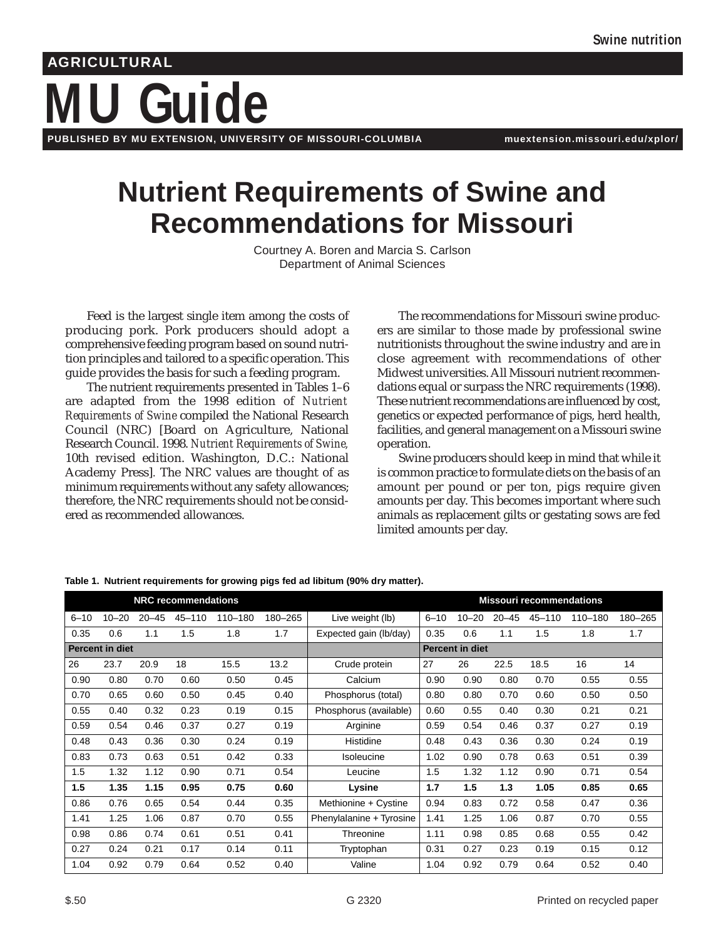# **Guide AGRICULTURAL PUBLISHED BY MU EXTENSION, UNIVERSITY OF MISSOURI-COLUMBIA muextension.missouri.edu/xplor/**

# **Nutrient Requirements of Swine and Recommendations for Missouri**

Courtney A. Boren and Marcia S. Carlson Department of Animal Sciences

Feed is the largest single item among the costs of producing pork. Pork producers should adopt a comprehensive feeding program based on sound nutrition principles and tailored to a specific operation. This guide provides the basis for such a feeding program.

The nutrient requirements presented in Tables 1–6 are adapted from the 1998 edition of *Nutrient Requirements of Swine* compiled the National Research Council (NRC) [Board on Agriculture, National Research Council. 1998. *Nutrient Requirements of Swine,* 10th revised edition. Washington, D.C.: National Academy Press]*.* The NRC values are thought of as minimum requirements without any safety allowances; therefore, the NRC requirements should not be considered as recommended allowances.

The recommendations for Missouri swine producers are similar to those made by professional swine nutritionists throughout the swine industry and are in close agreement with recommendations of other Midwest universities. All Missouri nutrient recommendations equal or surpass the NRC requirements (1998). These nutrient recommendations are influenced by cost, genetics or expected performance of pigs, herd health, facilities, and general management on a Missouri swine operation.

Swine producers should keep in mind that while it is common practice to formulate diets on the basis of an amount per pound or per ton, pigs require given amounts per day. This becomes important where such animals as replacement gilts or gestating sows are fed limited amounts per day.

| <b>NRC recommendations</b> |                 |           |        |         | <b>Missouri recommendations</b> |                          |          |                 |           |            |         |         |
|----------------------------|-----------------|-----------|--------|---------|---------------------------------|--------------------------|----------|-----------------|-----------|------------|---------|---------|
| $6 - 10$                   | $10 - 20$       | $20 - 45$ | 45-110 | 110-180 | 180-265                         | Live weight (lb)         | $6 - 10$ | $10 - 20$       | $20 - 45$ | $45 - 110$ | 110-180 | 180-265 |
| 0.35                       | 0.6             | 1.1       | 1.5    | 1.8     | 1.7                             | Expected gain (lb/day)   | 0.35     | 0.6             | 1.1       | 1.5        | 1.8     | 1.7     |
|                            | Percent in diet |           |        |         |                                 |                          |          | Percent in diet |           |            |         |         |
| 26                         | 23.7            | 20.9      | 18     | 15.5    | 13.2                            | Crude protein            | 27       | 26              | 22.5      | 18.5       | 16      | 14      |
| 0.90                       | 0.80            | 0.70      | 0.60   | 0.50    | 0.45                            | Calcium                  | 0.90     | 0.90            | 0.80      | 0.70       | 0.55    | 0.55    |
| 0.70                       | 0.65            | 0.60      | 0.50   | 0.45    | 0.40                            | Phosphorus (total)       | 0.80     | 0.80            | 0.70      | 0.60       | 0.50    | 0.50    |
| 0.55                       | 0.40            | 0.32      | 0.23   | 0.19    | 0.15                            | Phosphorus (available)   | 0.60     | 0.55            | 0.40      | 0.30       | 0.21    | 0.21    |
| 0.59                       | 0.54            | 0.46      | 0.37   | 0.27    | 0.19                            | Arginine                 | 0.59     | 0.54            | 0.46      | 0.37       | 0.27    | 0.19    |
| 0.48                       | 0.43            | 0.36      | 0.30   | 0.24    | 0.19                            | Histidine                | 0.48     | 0.43            | 0.36      | 0.30       | 0.24    | 0.19    |
| 0.83                       | 0.73            | 0.63      | 0.51   | 0.42    | 0.33                            | <b>Isoleucine</b>        | 1.02     | 0.90            | 0.78      | 0.63       | 0.51    | 0.39    |
| 1.5                        | 1.32            | 1.12      | 0.90   | 0.71    | 0.54                            | Leucine                  | 1.5      | 1.32            | 1.12      | 0.90       | 0.71    | 0.54    |
| 1.5                        | 1.35            | 1.15      | 0.95   | 0.75    | 0.60                            | Lysine                   | 1.7      | 1.5             | 1.3       | 1.05       | 0.85    | 0.65    |
| 0.86                       | 0.76            | 0.65      | 0.54   | 0.44    | 0.35                            | Methionine + Cystine     | 0.94     | 0.83            | 0.72      | 0.58       | 0.47    | 0.36    |
| 1.41                       | 1.25            | 1.06      | 0.87   | 0.70    | 0.55                            | Phenylalanine + Tyrosine | 1.41     | 1.25            | 1.06      | 0.87       | 0.70    | 0.55    |
| 0.98                       | 0.86            | 0.74      | 0.61   | 0.51    | 0.41                            | Threonine                | 1.11     | 0.98            | 0.85      | 0.68       | 0.55    | 0.42    |
| 0.27                       | 0.24            | 0.21      | 0.17   | 0.14    | 0.11                            | Tryptophan               | 0.31     | 0.27            | 0.23      | 0.19       | 0.15    | 0.12    |
| 1.04                       | 0.92            | 0.79      | 0.64   | 0.52    | 0.40                            | Valine                   | 1.04     | 0.92            | 0.79      | 0.64       | 0.52    | 0.40    |

**Table 1. Nutrient requirements for growing pigs fed ad libitum (90% dry matter).**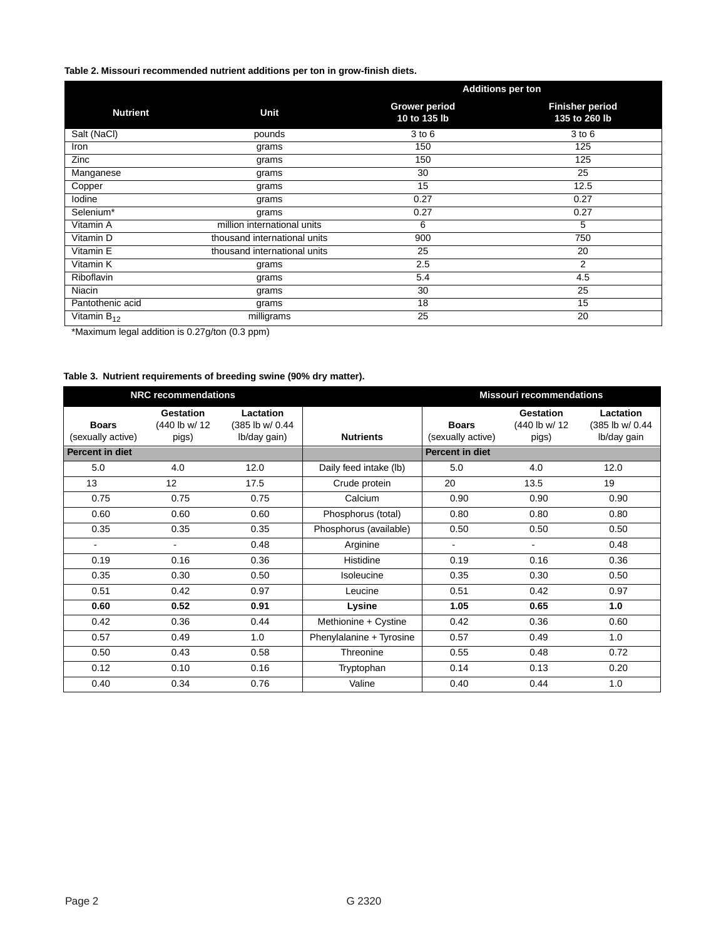### **Table 2. Missouri recommended nutrient additions per ton in grow-finish diets.**

|                   |                              | <b>Additions per ton</b>             |                                         |  |
|-------------------|------------------------------|--------------------------------------|-----------------------------------------|--|
| <b>Nutrient</b>   | Unit                         | <b>Grower period</b><br>10 to 135 lb | <b>Finisher period</b><br>135 to 260 lb |  |
| Salt (NaCl)       | pounds                       | $3$ to $6$                           | $3$ to $6$                              |  |
| Iron              | grams                        | 150                                  | 125                                     |  |
| Zinc              | grams                        | 150                                  | 125                                     |  |
| Manganese         | grams                        | 30                                   | 25                                      |  |
| Copper            | grams                        | 15                                   | 12.5                                    |  |
| lodine            | grams                        | 0.27                                 | 0.27                                    |  |
| Selenium*         | grams                        | 0.27                                 | 0.27                                    |  |
| Vitamin A         | million international units  | 6                                    | 5                                       |  |
| Vitamin D         | thousand international units | 900                                  | 750                                     |  |
| Vitamin E         | thousand international units | 25                                   | 20                                      |  |
| Vitamin K         | grams                        | 2.5                                  | 2                                       |  |
| <b>Riboflavin</b> | grams                        | 5.4                                  | 4.5                                     |  |
| Niacin            | grams                        | 30                                   | 25                                      |  |
| Pantothenic acid  | grams                        | 18                                   | 15                                      |  |
| Vitamin $B_{12}$  | milligrams                   | 25                                   | 20                                      |  |

\*Maximum legal addition is 0.27g/ton (0.3 ppm)

## **Table 3. Nutrient requirements of breeding swine (90% dry matter).**

|                                   | <b>NRC recommendations</b>           |                                               |                          | <b>Missouri recommendations</b>   |                                            |                                             |  |
|-----------------------------------|--------------------------------------|-----------------------------------------------|--------------------------|-----------------------------------|--------------------------------------------|---------------------------------------------|--|
| <b>Boars</b><br>(sexually active) | Gestation<br>(440 lb w/ 12)<br>pigs) | Lactation<br>(385 lb w/ 0.44)<br>lb/day gain) | <b>Nutrients</b>         | <b>Boars</b><br>(sexually active) | <b>Gestation</b><br>(440 lb w/ 12<br>pigs) | Lactation<br>(385 lb w/ 0.44<br>Ib/day gain |  |
| <b>Percent in diet</b>            |                                      |                                               |                          | Percent in diet                   |                                            |                                             |  |
| 5.0                               | 4.0                                  | 12.0                                          | Daily feed intake (lb)   | 5.0                               | 4.0                                        | 12.0                                        |  |
| 13                                | 12                                   | 17.5                                          | Crude protein            | 20                                | 13.5                                       | 19                                          |  |
| 0.75                              | 0.75                                 | 0.75                                          | Calcium                  | 0.90                              | 0.90                                       | 0.90                                        |  |
| 0.60                              | 0.60                                 | 0.60                                          | Phosphorus (total)       | 0.80                              | 0.80                                       | 0.80                                        |  |
| 0.35                              | 0.35                                 | 0.35                                          | Phosphorus (available)   | 0.50                              | 0.50                                       | 0.50                                        |  |
| $\overline{\phantom{0}}$          | $\blacksquare$                       | 0.48                                          | Arginine                 | $\overline{\phantom{0}}$          |                                            | 0.48                                        |  |
| 0.19                              | 0.16                                 | 0.36                                          | Histidine                | 0.19                              | 0.16                                       | 0.36                                        |  |
| 0.35                              | 0.30                                 | 0.50                                          | <b>Isoleucine</b>        | 0.35                              | 0.30                                       | 0.50                                        |  |
| 0.51                              | 0.42                                 | 0.97                                          | Leucine                  | 0.51                              | 0.42                                       | 0.97                                        |  |
| 0.60                              | 0.52                                 | 0.91                                          | Lysine                   | 1.05                              | 0.65                                       | 1.0                                         |  |
| 0.42                              | 0.36                                 | 0.44                                          | Methionine + Cystine     | 0.42                              | 0.36                                       | 0.60                                        |  |
| 0.57                              | 0.49                                 | 1.0                                           | Phenylalanine + Tyrosine | 0.57                              | 0.49                                       | 1.0                                         |  |
| 0.50                              | 0.43                                 | 0.58                                          | Threonine                | 0.55                              | 0.48                                       | 0.72                                        |  |
| 0.12                              | 0.10                                 | 0.16                                          | Tryptophan               | 0.14                              | 0.13                                       | 0.20                                        |  |
| 0.40                              | 0.34                                 | 0.76                                          | Valine                   | 0.40                              | 0.44                                       | 1.0                                         |  |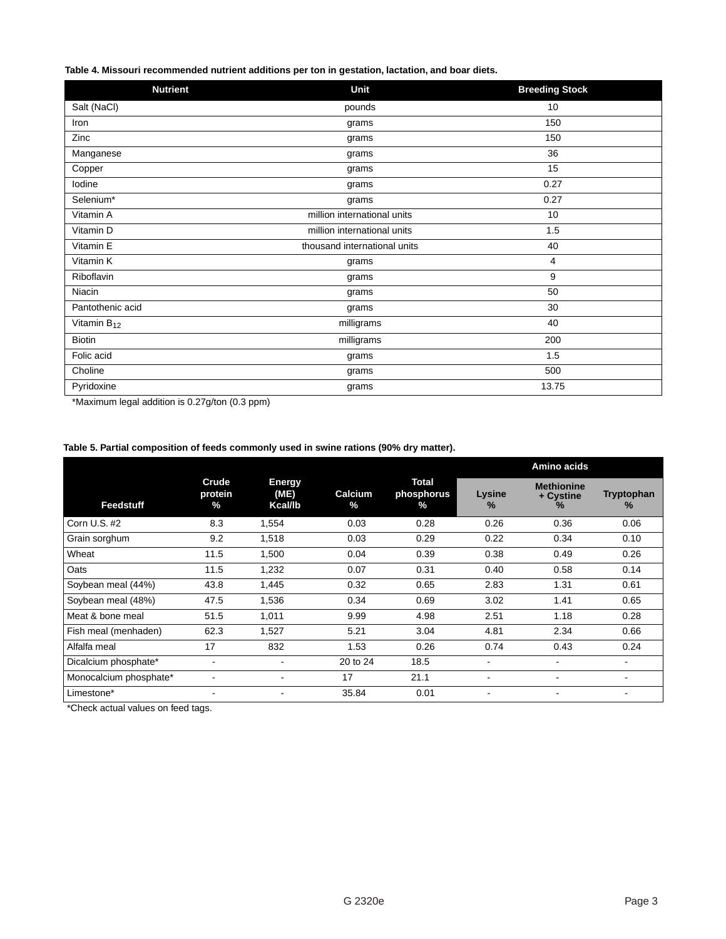**Table 4. Missouri recommended nutrient additions per ton in gestation, lactation, and boar diets.**

| <b>Nutrient</b>  | Unit                         | <b>Breeding Stock</b> |
|------------------|------------------------------|-----------------------|
| Salt (NaCl)      | pounds                       | 10                    |
| Iron             | grams                        | 150                   |
| Zinc             | grams                        | 150                   |
| Manganese        | grams                        | 36                    |
| Copper           | grams                        | 15                    |
| lodine           | grams                        | 0.27                  |
| Selenium*        | grams                        | 0.27                  |
| Vitamin A        | million international units  | 10                    |
| Vitamin D        | million international units  | 1.5                   |
| Vitamin E        | thousand international units | 40                    |
| Vitamin K        | grams                        | 4                     |
| Riboflavin       | grams                        | 9                     |
| Niacin           | grams                        | 50                    |
| Pantothenic acid | grams                        | 30                    |
| Vitamin $B_{12}$ | milligrams                   | 40                    |
| <b>Biotin</b>    | milligrams                   | 200                   |
| Folic acid       | grams                        | 1.5                   |
| Choline          | grams                        | 500                   |
| Pyridoxine       | grams                        | 13.75                 |

\*Maximum legal addition is 0.27g/ton (0.3 ppm)

#### **Table 5. Partial composition of feeds commonly used in swine rations (90% dry matter).**

|                        |                          |                                  |              |                             | Amino acids    |                                     |                    |
|------------------------|--------------------------|----------------------------------|--------------|-----------------------------|----------------|-------------------------------------|--------------------|
| Feedstuff              | Crude<br>protein<br>$\%$ | <b>Energy</b><br>(ME)<br>Kcal/lb | Calcium<br>% | Total<br>phosphorus<br>$\%$ | Lysine<br>$\%$ | <b>Methionine</b><br>+ Cystine<br>℅ | Tryptophan<br>$\%$ |
| Corn U.S. #2           | 8.3                      | 1,554                            | 0.03         | 0.28                        | 0.26           | 0.36                                | 0.06               |
| Grain sorghum          | 9.2                      | 1,518                            | 0.03         | 0.29                        | 0.22           | 0.34                                | 0.10               |
| Wheat                  | 11.5                     | 1,500                            | 0.04         | 0.39                        | 0.38           | 0.49                                | 0.26               |
| Oats                   | 11.5                     | 1,232                            | 0.07         | 0.31                        | 0.40           | 0.58                                | 0.14               |
| Soybean meal (44%)     | 43.8                     | 1.445                            | 0.32         | 0.65                        | 2.83           | 1.31                                | 0.61               |
| Soybean meal (48%)     | 47.5                     | 1,536                            | 0.34         | 0.69                        | 3.02           | 1.41                                | 0.65               |
| Meat & bone meal       | 51.5                     | 1,011                            | 9.99         | 4.98                        | 2.51           | 1.18                                | 0.28               |
| Fish meal (menhaden)   | 62.3                     | 1,527                            | 5.21         | 3.04                        | 4.81           | 2.34                                | 0.66               |
| Alfalfa meal           | 17                       | 832                              | 1.53         | 0.26                        | 0.74           | 0.43                                | 0.24               |
| Dicalcium phosphate*   | $\blacksquare$           | $\blacksquare$                   | 20 to 24     | 18.5                        |                | $\overline{\phantom{a}}$            | $\blacksquare$     |
| Monocalcium phosphate* |                          | $\overline{\phantom{0}}$         | 17           | 21.1                        |                | $\overline{\phantom{a}}$            | ٠                  |
| Limestone*             | $\overline{\phantom{a}}$ | $\blacksquare$                   | 35.84        | 0.01                        |                | $\overline{\phantom{a}}$            | ۰                  |

\*Check actual values on feed tags.